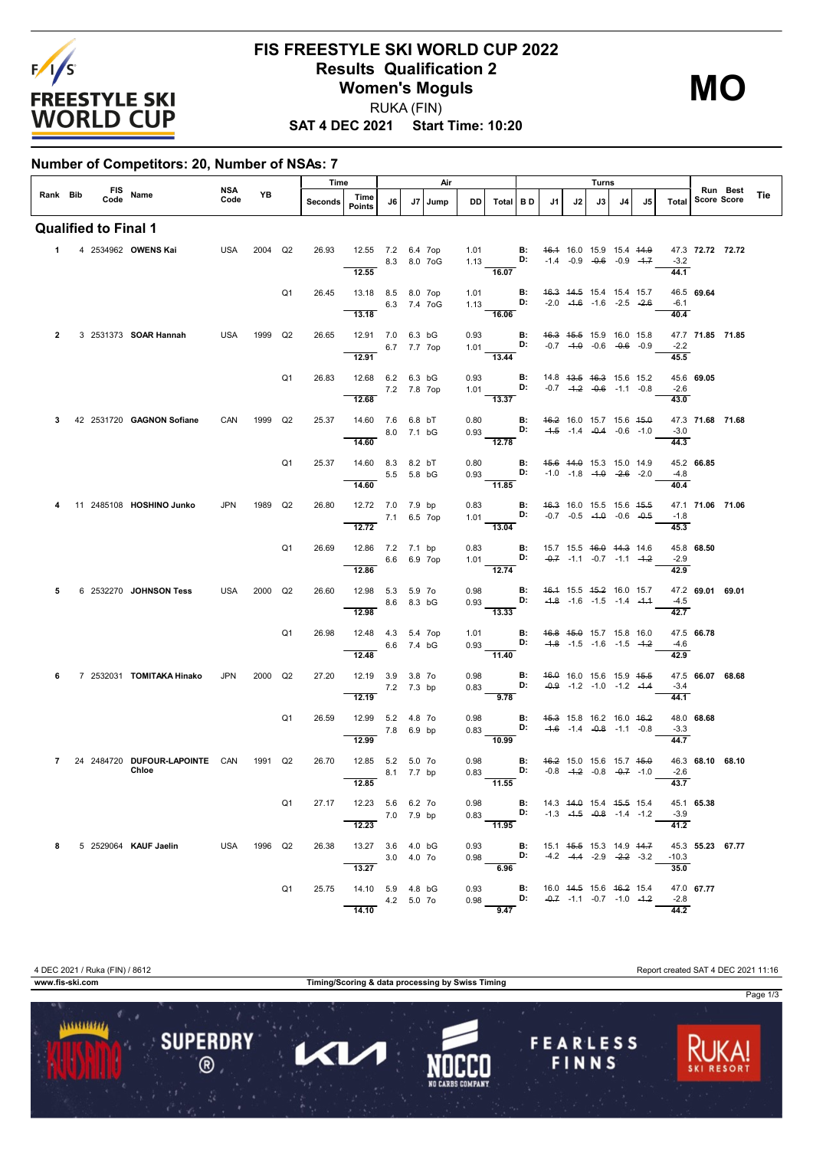

## **FIS FREESTYLE SKI WORLD CUP 2022 Results Qualification 2 Women's Moguls** RUKA (FIN)

**SAT 4 DEC 2021 Start Time: 10:20**

**Number of Competitors: 20, Number of NSAs: 7**

|                |  |                             |                                |             |             |                | Time    |                                            |            |             | Air     |      |                                                                                                                        |                |                                     |    | Turns |                                    |    |                             |                                |     |  |
|----------------|--|-----------------------------|--------------------------------|-------------|-------------|----------------|---------|--------------------------------------------|------------|-------------|---------|------|------------------------------------------------------------------------------------------------------------------------|----------------|-------------------------------------|----|-------|------------------------------------|----|-----------------------------|--------------------------------|-----|--|
| Rank Bib       |  |                             | FIS Name                       | NSA<br>Code | YB.         |                | Seconds | Time<br><b>Points</b>                      | J6         |             | J7 Jump | DD   | Total BD                                                                                                               |                | J1                                  | J2 | J3    | J4                                 | J5 | Total                       | Run Best<br><b>Score Score</b> | Tie |  |
|                |  | <b>Qualified to Final 1</b> |                                |             |             |                |         |                                            |            |             |         |      |                                                                                                                        |                |                                     |    |       |                                    |    |                             |                                |     |  |
|                |  |                             | 1 4 2534962 OWENS Kai          |             | USA 2004 Q2 |                | 26.93   | 12.55 7.2 6.4 7op<br>8.3 8.0 7oG<br>12.55  |            |             |         |      | 1.01 <b>B:</b> 4 <del>6.1</del> 16.0 15.9 15.4 44.9<br>1.13 <b>D:</b> -1.4 -0.9 -0.6 -0.9 -1.7<br>$\frac{16.07}{ }$    |                |                                     |    |       |                                    |    | 44.1                        | 47.3 72.72 72.72<br>$-3.2$     |     |  |
|                |  |                             |                                |             |             | Q <sub>1</sub> | 26.45   | 13.18 8.5 8.0 7op                          |            |             |         | 1.01 | 1.13 <b>D:</b> -2.0 -1.6 -1.6 -2.5 -2.6                                                                                | $\mathbf{B}$ : | <del>16.3</del> 44.5 15.4 15.4 15.7 |    |       |                                    |    |                             | 46.5 69.64                     |     |  |
|                |  |                             |                                |             |             |                |         | 13.18                                      |            | 6.3 7.4 7oG |         |      | $-16.06$                                                                                                               |                |                                     |    |       |                                    |    | -6.1<br>40.4                |                                |     |  |
| $\mathbf{2}$   |  |                             | 3 2531373 <b>SOAR Hannah</b>   | USA         | 1999 Q2     |                | 26.65   | 12.91 7.0 6.3 bG                           |            | 6.7 7.7 7op |         |      | 0.93 <b>B:</b> 46.3 45.5 15.9 16.0 15.8<br>1.01 <b>D:</b> $-0.7$ $-4.0$ $-0.6$ $-0.6$ $-0.9$                           |                |                                     |    |       |                                    |    | $-2.2$                      | 47.7 71.85 71.85               |     |  |
|                |  |                             |                                |             |             |                |         | 12.91                                      |            |             |         |      | 13.44                                                                                                                  |                |                                     |    |       |                                    |    | 45.5                        |                                |     |  |
|                |  |                             |                                |             |             | Q <sub>1</sub> | 26.83   | 12.68 6.2 6.3 bG<br>7.2 7.8 7op<br>12.68   |            |             |         | 0.93 | 1.01 <b>D:</b> $-0.7$ $-4.2$ $-0.6$ $-1.1$ $-0.8$<br>$\overline{13.37}$                                                | B:             | 14.8 43.5 46.3 15.6 15.2            |    |       |                                    |    | -2.6<br>43.0                | 45.6 69.05                     |     |  |
|                |  |                             | 42 2531720 GAGNON Sofiane      | CAN         | 1999 Q2     |                | 25.37   | 14.60 7.6 6.8 bT                           |            |             |         | 0.80 |                                                                                                                        | <b>B:</b>      | 46.2 16.0 15.7 15.6 45.0            |    |       |                                    |    |                             | 47.3 71.68 71.68               |     |  |
|                |  |                             |                                |             |             |                |         | 14.60                                      |            | 8.0 7.1 bG  |         |      | $0.93$ D:<br>$\overline{12.78}$                                                                                        |                |                                     |    |       | $-4.5$ $-1.4$ $-0.4$ $-0.6$ $-1.0$ |    | $-3.0$<br>$\overline{44.3}$ |                                |     |  |
|                |  |                             |                                |             |             | Q <sub>1</sub> | 25.37   | 14.60 8.3 8.2 bT<br>5.5 5.8 bG             |            |             |         |      | 0.80 <b>B:</b> 45.6 44.0 15.3 15.0 14.9 0.93 <b>D:</b> -1.0 -1.8 -4.0 -2.6 -2.0                                        |                |                                     |    |       |                                    |    | $-4.8$                      | 45.2 66.85                     |     |  |
|                |  |                             |                                |             |             |                |         | 14.60                                      |            |             |         |      | $\frac{1.33}{11.85}$                                                                                                   |                |                                     |    |       |                                    |    | 40.4                        |                                |     |  |
|                |  |                             | 11 2485108 HOSHINO Junko       | <b>JPN</b>  | 1989 Q2     |                | 26.80   | 12.72 7.0 7.9 bp<br>7.1 6.5 7op            |            |             |         |      | 0.83 <b>B:</b> 4 <del>6.3</del> 16.0 15.5 15.6 4 <del>5.5</del><br>1.01 <b>D:</b> -0.7 -0.5 -4. <del>0</del> -0.6 -0.5 |                |                                     |    |       |                                    |    | $-1.8$                      | 47.1 71.06 71.06               |     |  |
|                |  |                             |                                |             |             |                |         | 12.72                                      |            |             |         |      | $\overline{13.04}$                                                                                                     |                |                                     |    |       |                                    |    | 45.3                        |                                |     |  |
|                |  |                             |                                |             |             | Q <sub>1</sub> | 26.69   | 12.86 7.2 7.1 bp<br>12.86                  |            | 6.6 6.9 7op |         |      | 0.83 <b>B:</b> 15.7 15.5 <del>16.0</del> 14.3 14.6<br>1.01 <b>D:</b> $-0.7$ -1.1 -0.7 -1.1 -1.2<br>12.74               |                |                                     |    |       |                                    |    | $-2.9$<br>42.9              | 45.8 68.50                     |     |  |
| 5              |  |                             | 6 2532270 JOHNSON Tess         | USA         | 2000 Q2     |                | 26.60   | 12.98 5.3 5.9 7o                           |            |             |         |      | 0.98 <b>B:</b> 46.4 15.5 45.2 16.0 15.7                                                                                |                |                                     |    |       |                                    |    |                             | 47.2 69.01 69.01               |     |  |
|                |  |                             |                                |             |             |                |         | in 1990.<br>Tanzania<br>12.98              |            | 8.6 8.3 bG  |         |      | 0.93 <b>D:</b> $-4.8$ -1.6 -1.5 -1.4 -4.4<br>$-13.33$                                                                  |                |                                     |    |       |                                    |    | $-4.5$<br>42.7              |                                |     |  |
|                |  |                             |                                |             |             | Q1             | 26.98   | 12.48  4.3  5.4  7op                       |            | 6.6 7.4 bG  |         | 1.01 | $0.93$ D:                                                                                                              | B:             | 46.8 45.0 15.7 15.8 16.0            |    |       | $-4.8$ $-1.5$ $-1.6$ $-1.5$ $-4.2$ |    | $-4.6$                      | 47.5 66.78                     |     |  |
|                |  |                             |                                |             |             |                |         | 12.48                                      |            |             |         |      | $\overline{11.40}$                                                                                                     |                |                                     |    |       |                                    |    | 42.9                        |                                |     |  |
| 6              |  |                             | 7 2532031 TOMITAKA Hinako      | JPN         | 2000 Q2     |                | 27.20   | 12.19 3.9 3.8 7o<br>$-7.2$ 7.3 bp<br>12.19 |            |             |         |      | 0.98 <b>B</b> : 46.0 16.0 15.6 15.9 46.5 10.83 <b>D</b> : -0.9 -1.2 -1.0 -1.2 -4.4<br>$\frac{1}{9.78}$                 |                |                                     |    |       |                                    |    | $-3.4$<br>44.1              | 47.5 66.07 68.68               |     |  |
|                |  |                             |                                |             |             | Q <sub>1</sub> | 26.59   | 12.99 5.2 4.8 7o                           |            |             |         | 0.98 |                                                                                                                        |                | <b>B:</b> 45.3 15.8 16.2 16.0 46.2  |    |       |                                    |    |                             | 48.0 68.68                     |     |  |
|                |  |                             |                                |             |             |                |         | 12.99                                      | 7.8 6.9 bp |             |         |      | 0.83 <b>D:</b> $-4.6$ $-1.4$ $-0.8$ $-1.1$ $-0.8$<br>$-10.99$                                                          |                |                                     |    |       |                                    |    | $-3.3$<br>44.7              |                                |     |  |
| $\overline{7}$ |  |                             | 24 2484720 DUFOUR-LAPOINTE CAN |             | 1991 Q2     |                | 26.70   | 12.85 5.2 5.0 7o                           |            |             |         |      | 0.98 <b>B:</b> $46.2$ 15.0 15.6 15.7 45.0 0.83 <b>D:</b> $-0.8$ -4.2 $-0.8$ -0.8 -0.7 -1.0                             |                |                                     |    |       |                                    |    |                             | 46.3 68.10 68.10               |     |  |
|                |  |                             | Chloe                          |             |             |                |         | 12.85                                      |            | 8.1 7.7 bp  |         | 0.83 | $-11.55$                                                                                                               |                |                                     |    |       |                                    |    | $-2.6$<br>43.7              |                                |     |  |
|                |  |                             |                                |             |             | Q1             |         | 27.17 12.23 5.6 6.2 7o                     |            |             |         |      | 0.98 <b>B:</b> 14.3 44.0 15.4 45.5 15.4                                                                                |                |                                     |    |       |                                    |    |                             | 45.1 65.38                     |     |  |
|                |  |                             |                                |             |             |                |         | $\frac{7.0}{12.23}$ 7.0 7.9 bp             |            |             |         |      | $-11.95$                                                                                                               |                |                                     |    |       |                                    |    | 41.2                        |                                |     |  |
| 8              |  |                             | 5 2529064 KAUF Jaelin          | USA 1996 Q2 |             |                | 26.38   | 13.27 3.6 4.0 bG<br>3.0 4.0 70             |            |             |         |      | 0.93 <b>B:</b> 15.1 4 <del>5.5</del> 15.3 14.9 44.7<br>0.98 <b>D:</b> -4.2 -4.4 -2.9 -2.2 -3.2                         |                |                                     |    |       |                                    |    | $-10.3$                     | 45.3 55.23 67.77               |     |  |
|                |  |                             |                                |             |             | Q1             | 25.75   | 13.27<br>14.10 5.9 4.8 bG                  |            |             |         |      | 6.96                                                                                                                   |                |                                     |    |       |                                    |    | 35.0                        | 47.0 67.77                     |     |  |
|                |  |                             |                                |             |             |                |         | 4.2 5.0 70<br>14.10                        |            |             |         |      | 0.93 <b>B:</b> 16.0 44.5 15.6 46.2 15.4<br>0.98 <b>D:</b> -0.7 -1.1 -0.7 -1.0 -4.2<br>9.47                             |                |                                     |    |       |                                    |    | $-2.8$<br>44.2              |                                |     |  |

Page 1/3 **SUPERDRY FEARLESS** 1 KV FINNS

...........

 $\circledR$ 

**www.fis-ski.com Timing/Scoring & data processing by Swiss Timing**

4 DEC 2021 / Ruka (FIN) / 8612 Report created SAT 4 DEC 2021 11:16

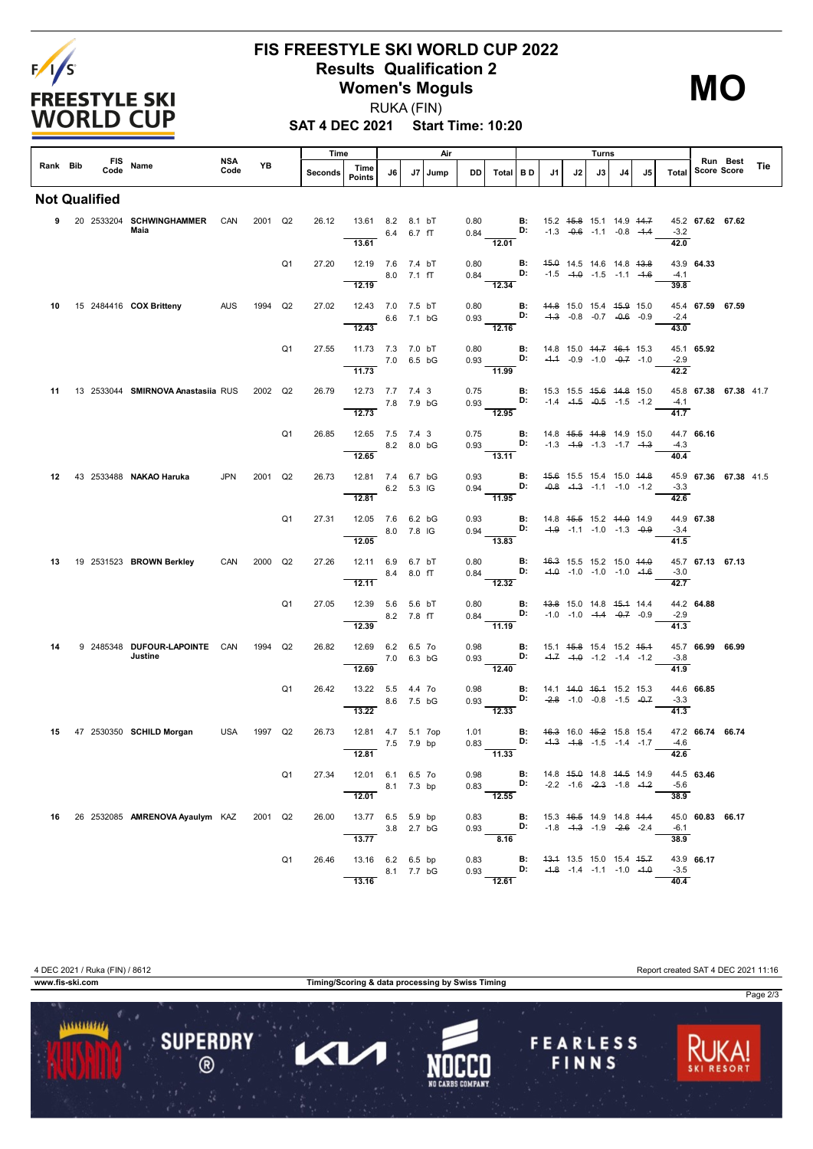

## **FIS FREESTYLE SKI WORLD CUP 2022 Results Qualification 2 Women's Moguls**

**MO**

RUKA (FIN)

**SAT 4 DEC 2021 Start Time: 10:20**

|    |          | <b>FIS</b>    |                                          | <b>NSA</b> |         |                | Time    |                                             |            |            | Air  |              |                                                                                                                                             |    |                                                  |    | Turns                                                                     |    |    |                            |                    | Run Best              |     |
|----|----------|---------------|------------------------------------------|------------|---------|----------------|---------|---------------------------------------------|------------|------------|------|--------------|---------------------------------------------------------------------------------------------------------------------------------------------|----|--------------------------------------------------|----|---------------------------------------------------------------------------|----|----|----------------------------|--------------------|-----------------------|-----|
|    | Rank Bib | Code          | Name                                     | Code       | YB      |                | Seconds | Time<br><b>Points</b>                       | J6         | J7         | Jump | DD I         | Total BD                                                                                                                                    |    | J1                                               | J2 | J3                                                                        | J4 | J5 | Total                      | <b>Score Score</b> |                       | Tie |
|    |          | Not Qualified |                                          |            |         |                |         |                                             |            |            |      |              |                                                                                                                                             |    |                                                  |    |                                                                           |    |    |                            |                    |                       |     |
|    |          |               | 9 20 2533204 SCHWINGHAMMER CAN<br>Maia   |            | 2001 Q2 |                | 26.12   | 13.61 8.2 8.1 bT<br>13.61                   |            | 6.4 6.7 fT |      |              | $0.80$ B:<br>$0.84$ D:                                                                                                                      |    |                                                  |    | 15.2 45.8 15.1 14.9 44.7<br>$-1.3$ $-0.6$ $-1.1$ $-0.8$ $-1.4$            |    |    | $-3.2$<br>42.0             | 45.2 67.62 67.62   |                       |     |
|    |          |               |                                          |            |         | Q <sub>1</sub> | 27.20   | 12.19 7.6 7.4 bT<br>12.19                   |            | 8.0 7.1 fT |      | 0.80         | 0.84 <b>D:</b> $-1.5$ $-4.0$ $-1.5$ $-1.1$ $-4.6$<br>$-12.34$                                                                               |    | <b>B:</b> 45.0 14.5 14.6 14.8 43.8               |    |                                                                           |    |    | $-4.1$<br>39.8             | 43.9 64.33         |                       |     |
| 10 |          |               | 15 2484416 COX Britteny AUS              |            | 1994 Q2 |                | 27.02   | 12.43 7.0 7.5 bT<br>6.6 7.1 bG<br>12.43     |            |            |      | 0.80         | $-12.16$                                                                                                                                    |    | <b>B:</b> 44.8 15.0 15.4 45.9 15.0               |    |                                                                           |    |    | $-2.4$<br>43.0             | 45.4 67.59 67.59   |                       |     |
|    |          |               |                                          |            |         | Q <sub>1</sub> | 27.55   | 11.73 7.3 7.0 bT<br>7.0 6.5 bG<br>11.73     |            |            |      | 0.80         | $0.93$ D:<br>$\frac{1}{11.99}$                                                                                                              | B: |                                                  |    | 14.8 15.0 <del>14.7 16.1</del> 15.3<br>$-4.4$ $-0.9$ $-1.0$ $-0.7$ $-1.0$ |    |    | $-2.9$<br>42.2             | 45.1 65.92         |                       |     |
|    |          |               | 11 13 2533044 SMIRNOVA Anastasiia RUS    |            | 2002 Q2 |                | 26.79   | 12.73 7.7 7.4 3<br>7.8 7.9 bG<br>12.73      |            |            |      |              | 0.75 <b>B:</b> 15.3 15.5 <del>15.6 14.8</del> 15.0<br>0.93 <b>D:</b> -1.4 - <del>1.5</del> -0.5 -1.5 -1.2<br>$\frac{1}{12.95}$              |    |                                                  |    |                                                                           |    |    | $-4.1$<br>41.7             |                    | 45.8 67.38 67.38 41.7 |     |
|    |          |               |                                          |            |         | Q <sub>1</sub> | 26.85   | 12.65 7.5 7.4 3<br>12.65                    | 8.2 8.0 bG |            |      | 0.75         | $0.93$ D:<br>$\overline{13.11}$                                                                                                             | B: | 14.8 45.5 44.8 14.9 15.0                         |    | $-1.3$ $-4.9$ $-1.3$ $-1.7$ $-4.3$                                        |    |    | $-4.3$<br>40.4             | 44.7 66.16         |                       |     |
|    |          |               | 12 43 2533488 NAKAO Haruka               | JPN        | 2001 Q2 |                | 26.73   | 12.81 7.4 6.7 bG<br>12.81                   | 6.2 5.3 IG |            |      | 0.93         | $0.94$ D:<br>$-11.95$                                                                                                                       |    | <b>B:</b> 45.6 15.5 15.4 15.0 44.8               |    | $-0.8$ $-4.3$ $-1.1$ $-1.0$ $-1.2$                                        |    |    | $-3.3$<br>42.6             |                    | 45.9 67.36 67.38 41.5 |     |
|    |          |               |                                          |            |         | Q <sub>1</sub> | 27.31   | 12.05 7.6 6.2 bG<br>8.0 7.8 IG<br>12.05     |            |            |      |              | 0.93 B: 14.8 45.5 15.2 44.0 14.9<br>0.94 D: -1.9 -1.1 -1.0 -1.3 -0.9<br>$-13.83$                                                            |    |                                                  |    |                                                                           |    |    | $-3.4$<br>41.5             | 44.9 67.38         |                       |     |
|    |          |               | 13 19 2531523 BROWN Berkley              | CAN        | 2000 Q2 |                | 27.26   | 12.11 6.9 6.7 bT<br>12.11                   | 8.4        | 8.0 fT     |      | 0.80         | $0.84$ D:<br>12.32                                                                                                                          | B: |                                                  |    | 46.3 15.5 15.2 15.0 44.0<br>$-4.0$ $-1.0$ $-1.0$ $-1.0$ $-4.6$            |    |    | $-3.0$<br>$\frac{1}{42.7}$ | 45.7 67.13 67.13   |                       |     |
|    |          |               |                                          |            |         | Q <sub>1</sub> | 27.05   | 12.39 5.6 5.6 bT<br>8.2 7.8 fT<br>12.39     |            |            |      |              | 0.80 <b>B:</b> 4 <del>3.8</del> 15.0 14.8 4 <del>5.1</del> 14.4<br>0.84 <b>D:</b> -1.0 -1.0 - <del>1.4</del> -0.7 -0.9<br>11.19             |    |                                                  |    |                                                                           |    |    | $-2.9$<br>41.3             | 44.2 64.88         |                       |     |
| 14 |          |               | 9 2485348 DUFOUR LAPOINTE CAN<br>Justine |            | 1994    | Q2             | 26.82   | 12.69 6.2 6.5 7o<br>12.69                   | 7.0 6.3 bG |            |      | 0.98         | $0.93$ D:<br>$-12.40$                                                                                                                       | B: | 15.1 4 <del>5.8</del> 15.4 15.2 4 <del>5.1</del> |    | $-4.7$ $-4.0$ $-1.2$ $-1.4$ $-1.2$                                        |    |    | $-3.8$<br>41.9             | 45.7 66.99 66.99   |                       |     |
|    |          |               |                                          |            |         | Q <sub>1</sub> | 26.42   | 13.22  5.5  4.4  7o<br>13.22                |            | 8.6 7.5 bG |      | 0.98<br>0.93 | D:<br>$\overline{12.33}$                                                                                                                    |    | <b>B:</b> 14.1 44.0 46.4 15.2 15.3               |    | $-2.8$ -1.0 -0.8 -1.5 -0.7                                                |    |    | $-3.3$<br>41.3             | 44.6 66.85         |                       |     |
| 15 |          |               | 47 2530350 SCHILD Morgan                 | USA        | 1997 Q2 |                | 26.73   | 12.81  4.7  5.1  7op<br>7.5 7.9 bp<br>12.81 |            |            |      |              | 1.01 <b>B:</b> 46.3 16.0 45.2 15.8 15.4<br>0.83 <b>D:</b> $-4.3$ $-4.8$ $-1.5$ $-1.4$ $-1.7$<br>11.33                                       |    |                                                  |    |                                                                           |    |    | $-4.6$<br>42.6             | 47.2 66.74 66.74   |                       |     |
|    |          |               |                                          |            |         | Q1             | 27.34   | 12.01 6.1 6.5 7o<br>8.1 7.3 bp<br>12.01     |            |            |      |              | 0.98 <b>B</b> : 14.8 <del>15.0</del> 14.8 <del>14.5</del> 14.9<br>0.83 <b>D:</b> -2.2 -1.6 - <del>2.3</del> -1.8 -1.2<br>$\overline{12.55}$ |    |                                                  |    |                                                                           |    |    | -5.6<br>38.9               | 44.5 63.46         |                       |     |
|    |          |               | 16 26 2532085 AMRENOVA Ayaulym KAZ       |            | 2001 Q2 |                | 26.00   | 13.77 6.5 5.9 bp<br>13.77                   | 3.8 2.7 bG |            |      |              | 0.83 <b>B</b> : 15.3 <del>16.5</del> 14.9 14.8 <del>14.4</del><br>0.93 <b>D:</b> -1.8 - <del>1.3</del> -1.9 - <del>2.6</del> -2.4<br>8.16   |    |                                                  |    |                                                                           |    |    | $-6.1$<br>38.9             | 45.0 60.83 66.17   |                       |     |
|    |          |               |                                          |            |         | Q1             | 26.46   | 13.16 6.2 6.5 bp<br>8.1 7.7 bG<br>13.16     |            |            |      |              | 0.83 <b>B:</b> 4 <del>3.1</del> 13.5 15.0 15.4 45.7<br>0.93 <b>D:</b> -4.8 -1.4 -1.1 -1.0 -4.0<br>12.61                                     |    |                                                  |    |                                                                           |    |    | $-3.5$<br>40.4             | 43.9 66.17         |                       |     |

4 DEC 2021 / Ruka (FIN) / 8612 Report created SAT 4 DEC 2021 11:16 **www.fis-ski.com Timing/Scoring & data processing by Swiss Timing**